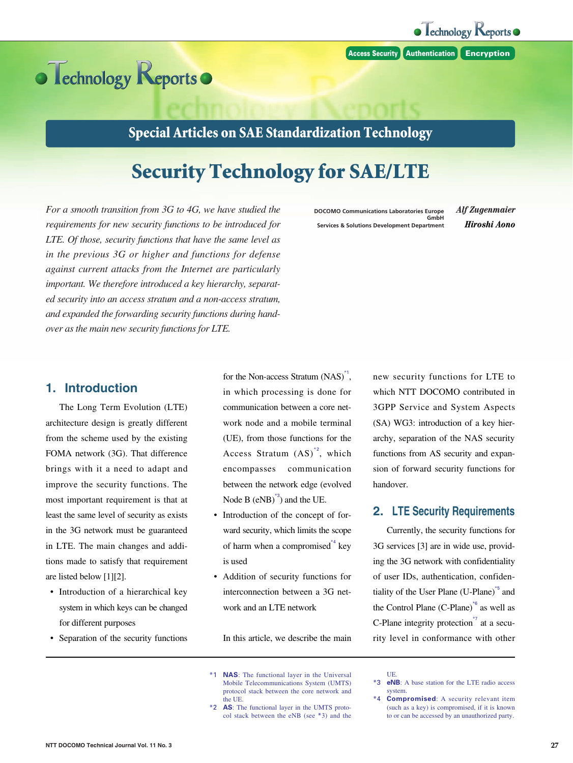**Access Security Authentication Encryption**



## **Special Articles on SAE Standardization Technology**

# **Security Technology for SAE/LTE**

*For a smooth transition from 3G to 4G, we have studied the requirements for new security functions to be introduced for LTE. Of those, security functions that have the same level as in the previous 3G or higher and functions for defense against current attacks from the Internet are particularly important. We therefore introduced a key hierarchy, separated security into an access stratum and a non-access stratum, and expanded the forwarding security functions during handover as the main new security functions for LTE.*

**DOCOMO Communications Laboratories Europe GmbH Services & Solutions Development Department**  $A$ *lf Zugenmaier*  $Hiroshi Aono$ 

#### **1. Introduction**

The Long Term Evolution (LTE) architecture design is greatly different from the scheme used by the existing FOMA network (3G). That difference brings with it a need to adapt and improve the security functions. The most important requirement is that at least the same level of security as exists in the 3G network must be guaranteed in LTE. The main changes and additions made to satisfy that requirement are listed below [1][2].

- Introduction of a hierarchical key system in which keys can be changed for different purposes
- Separation of the security functions

for the Non-access Stratum (NAS)<sup>\*1</sup>, in which processing is done for communication between a core network node and a mobile terminal (UE), from those functions for the Access Stratum  $(AS)^{*2}$ , which encompasses communication between the network edge (evolved Node B  $(eNB)^{3}$  and the UE.

- Introduction of the concept of forward security, which limits the scope of harm when a compromised  $*$  key is used
- Addition of security functions for interconnection between a 3G network and an LTE network

In this article, we describe the main

- \*1 **NAS**: The functional layer in the Universal Mobile Telecommunications System (UMTS) protocol stack between the core network and the UE.
- \*2 **AS**: The functional layer in the UMTS protocol stack between the eNB (see \*3) and the

new security functions for LTE to which NTT DOCOMO contributed in 3GPP Service and System Aspects (SA) WG3: introduction of a key hierarchy, separation of the NAS security functions from AS security and expansion of forward security functions for handover.

#### **2. LTE Security Requirements**

Currently, the security functions for 3G services [3] are in wide use, providing the 3G network with confidentiality of user IDs, authentication, confidentiality of the User Plane (U-Plane)<sup>\*5</sup> and the Control Plane (C-Plane) $*$ <sup>6</sup> as well as C-Plane integrity protection $\overline{r}$  at a security level in conformance with other

UE.

<sup>\*3</sup> **eNB**: A base station for the LTE radio access system.

<sup>\*4</sup> **Compromised**: A security relevant item (such as a key) is compromised, if it is known to or can be accessed by an unauthorized party.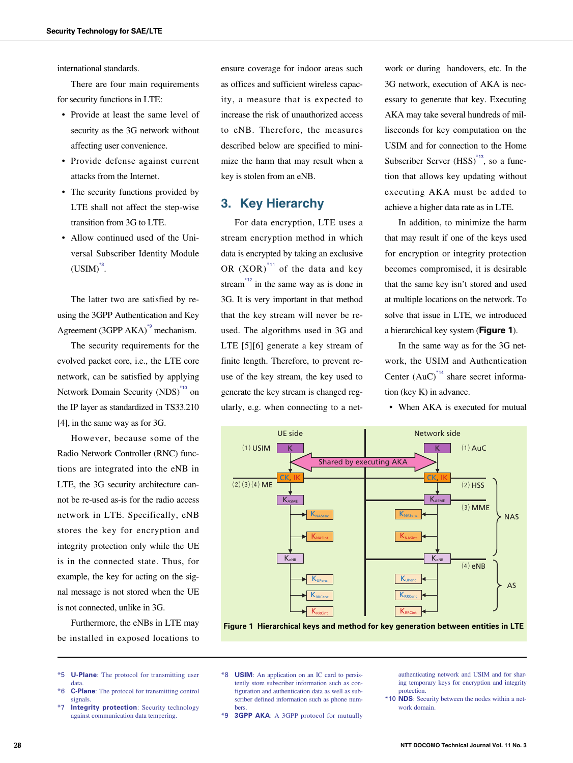international standards.

There are four main requirements for security functions in LTE:

- Provide at least the same level of security as the 3G network without affecting user convenience.
- Provide defense against current attacks from the Internet.
- The security functions provided by LTE shall not affect the step-wise transition from 3G to LTE.
- Allow continued used of the Universal Subscriber Identity Module  $\text{(USIM)}^{*8}$ .

The latter two are satisfied by reusing the 3GPP Authentication and Key Agreement (3GPP AKA)\*9 mechanism.

The security requirements for the evolved packet core, i.e., the LTE core network, can be satisfied by applying Network Domain Security (NDS)<sup>\*10</sup> on the IP layer as standardized in TS33.210 [4], in the same way as for 3G.

However, because some of the Radio Network Controller (RNC) functions are integrated into the eNB in LTE, the 3G security architecture cannot be re-used as-is for the radio access network in LTE. Specifically, eNB stores the key for encryption and integrity protection only while the UE is in the connected state. Thus, for example, the key for acting on the signal message is not stored when the UE is not connected, unlike in 3G.

Furthermore, the eNBs in LTE may be installed in exposed locations to

- \*5 **U-Plane**: The protocol for transmitting user data. \*6 **C-Plane**: The protocol for transmitting control
- signals.
- \*7 **Integrity protection**: Security technology against communication data tempering.

ensure coverage for indoor areas such as offices and sufficient wireless capacity, a measure that is expected to increase the risk of unauthorized access to eNB. Therefore, the measures described below are specified to minimize the harm that may result when a key is stolen from an eNB.

#### **3. Key Hierarchy**

For data encryption, LTE uses a stream encryption method in which data is encrypted by taking an exclusive OR  $(XOR)^{11}$  of the data and key stream<sup>\*12</sup> in the same way as is done in 3G. It is very important in that method that the key stream will never be reused. The algorithms used in 3G and LTE [5][6] generate a key stream of finite length. Therefore, to prevent reuse of the key stream, the key used to generate the key stream is changed regularly, e.g. when connecting to a net-

work or during handovers, etc. In the 3G network, execution of AKA is necessary to generate that key. Executing AKA may take several hundreds of milliseconds for key computation on the USIM and for connection to the Home Subscriber Server (HSS)<sup>\*13</sup>, so a function that allows key updating without executing AKA must be added to achieve a higher data rate as in LTE.

In addition, to minimize the harm that may result if one of the keys used for encryption or integrity protection becomes compromised, it is desirable that the same key isn't stored and used at multiple locations on the network. To solve that issue in LTE, we introduced a hierarchical key system (**Figure 1**).

In the same way as for the 3G network, the USIM and Authentication Center  $(AuC)^{4}$  share secret information (key K) in advance.

• When AKA is executed for mutual



**Figure 1 Hierarchical keys and method for key generation between entities in LTE**

\*8 **USIM**: An application on an IC card to persistently store subscriber information such as configuration and authentication data as well as subscriber defined information such as phone numbers.

\*9 **3GPP AKA**: A 3GPP protocol for mutually

authenticating network and USIM and for sharing temporary keys for encryption and integrity protection.

\*10 **NDS**: Security between the nodes within a network domain.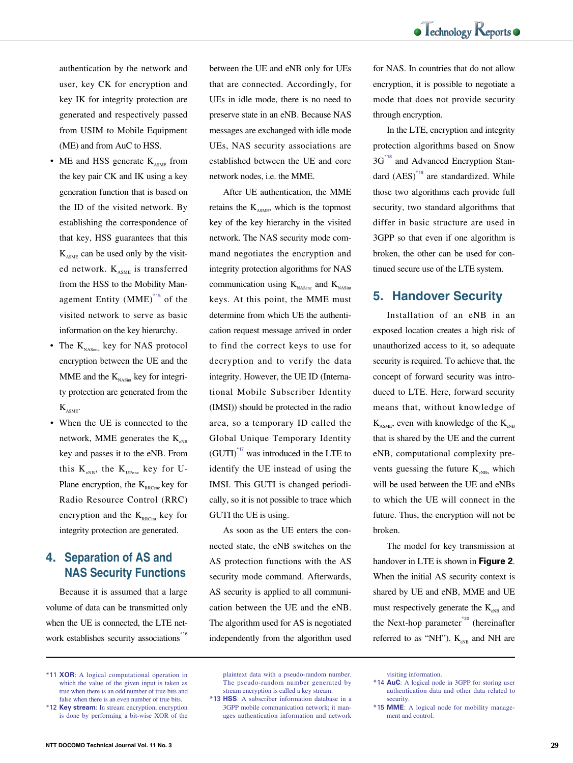authentication by the network and user, key CK for encryption and key IK for integrity protection are generated and respectively passed from USIM to Mobile Equipment (ME) and from AuC to HSS.

- ME and HSS generate  $K_{ASME}$  from the key pair CK and IK using a key generation function that is based on the ID of the visited network. By establishing the correspondence of that key, HSS guarantees that this  $K_{ASME}$  can be used only by the visited network.  $K_{\text{asym}}$  is transferred from the HSS to the Mobility Management Entity (MME)\*15 of the visited network to serve as basic information on the key hierarchy.
- The  $K_{NASene}$  key for NAS protocol encryption between the UE and the MME and the  $K_{NASint}$  key for integrity protection are generated from the  $K_{ASME}$ .
- When the UE is connected to the network, MME generates the  $K_{\text{NBR}}$ key and passes it to the eNB. From this  $K_{\text{NBS}}$ , the  $K_{\text{UPP2C}}$  key for U-Plane encryption, the  $K_{\text{RRCence}}$  key for Radio Resource Control (RRC) encryption and the  $K_{RRCint}$  key for integrity protection are generated.

## **4. Separation of AS and NAS Security Functions**

Because it is assumed that a large volume of data can be transmitted only when the UE is connected, the LTE network establishes security associations.<sup>16</sup>

is done by performing a bit-wise XOR of the

between the UE and eNB only for UEs that are connected. Accordingly, for UEs in idle mode, there is no need to preserve state in an eNB. Because NAS messages are exchanged with idle mode UEs, NAS security associations are established between the UE and core network nodes, i.e. the MME.

After UE authentication, the MME retains the K<sub>ASME</sub>, which is the topmost key of the key hierarchy in the visited network. The NAS security mode command negotiates the encryption and integrity protection algorithms for NAS communication using  $K_{NASene}$  and  $K_{NASint}$ keys. At this point, the MME must determine from which UE the authentication request message arrived in order to find the correct keys to use for decryption and to verify the data integrity. However, the UE ID (International Mobile Subscriber Identity (IMSI)) should be protected in the radio area, so a temporary ID called the Global Unique Temporary Identity  $(GUTI)<sup>*17</sup>$  was introduced in the LTE to identify the UE instead of using the IMSI. This GUTI is changed periodically, so it is not possible to trace which GUTI the UE is using.

As soon as the UE enters the connected state, the eNB switches on the AS protection functions with the AS security mode command. Afterwards, AS security is applied to all communication between the UE and the eNB. The algorithm used for AS is negotiated independently from the algorithm used

plaintext data with a pseudo-random number. The pseudo-random number generated by stream encryption is called a key stream.

for NAS. In countries that do not allow encryption, it is possible to negotiate a mode that does not provide security through encryption.

In the LTE, encryption and integrity protection algorithms based on Snow 3G<sup>\*18</sup> and Advanced Encryption Standard (AES)\*19 are standardized. While those two algorithms each provide full security, two standard algorithms that differ in basic structure are used in 3GPP so that even if one algorithm is broken, the other can be used for continued secure use of the LTE system.

### **5. Handover Security**

Installation of an eNB in an exposed location creates a high risk of unauthorized access to it, so adequate security is required. To achieve that, the concept of forward security was introduced to LTE. Here, forward security means that, without knowledge of  $K_{\text{ASME}}$ , even with knowledge of the  $K_{\text{SMB}}$ that is shared by the UE and the current eNB, computational complexity prevents guessing the future  $K_{\text{eNRs}}$  which will be used between the UE and eNBs to which the UE will connect in the future. Thus, the encryption will not be broken.

The model for key transmission at handover in LTE is shown in **Figure 2**. When the initial AS security context is shared by UE and eNB, MME and UE must respectively generate the  $K_{\text{N-B}}$  and the Next-hop parameter<sup> $*20$ </sup> (hereinafter referred to as "NH").  $K_{\text{eNB}}$  and NH are

visiting information.

<sup>\*11</sup> **XOR**: A logical computational operation in which the value of the given input is taken as true when there is an odd number of true bits and false when there is an even number of true bits. \*12 **Key stream**: In stream encryption, encryption

<sup>\*13</sup> **HSS**: A subscriber information database in a 3GPP mobile communication network; it manages authentication information and network

<sup>\*14</sup> **AuC**: A logical node in 3GPP for storing user authentication data and other data related to security.

<sup>\*15</sup> **MME**: A logical node for mobility management and control.